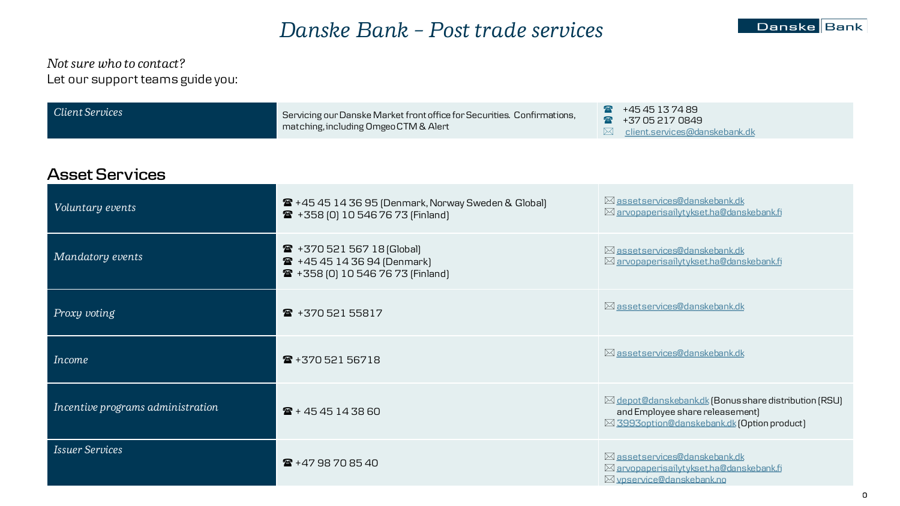# *Danske Bank – Post trade services*

#### *Not sure who to contact?*  Let our support teams guide you:

| Client Services | Servicing our Danske Market front office for Securities. Confirmations,<br>matching, including Omgeo CTM & Alert | $+4545137489$<br>+37 05 217 0849          |
|-----------------|------------------------------------------------------------------------------------------------------------------|-------------------------------------------|
|                 |                                                                                                                  | $\boxtimes$ client.services@danskebank.dk |

#### **Asset Services**

| Voluntary events                  | <b>2</b> +45 45 14 36 95 (Denmark, Norway Sweden & Global)<br>☎ +358 [0] 10 546 76 73 [Finland]       | ⊠ assetservices@danskebank.dk<br>⊠ arvopaperisailytykset.ha@danskebank.fi                                                                       |
|-----------------------------------|-------------------------------------------------------------------------------------------------------|-------------------------------------------------------------------------------------------------------------------------------------------------|
| Mandatory events                  | ☎ +370 521 567 18 (Global)<br><b>■ +45 45 14 36 94 (Denmark)</b><br>☎ +358 [0] 10 546 76 73 [Finland] | ⊠ assetservices@danskebank.dk<br>⊠ arvopaperisailytykset.ha@danskebank.fi                                                                       |
| Proxy voting                      | ☎ +370 521 55817                                                                                      | ⊠ assetservices@danskebank.dk                                                                                                                   |
| <b>Income</b>                     | ☎ +370 521 56718                                                                                      | ⊠ assetservices@danskebank.dk                                                                                                                   |
| Incentive programs administration | $\mathbf{\hat{a}}$ + 45 45 14 38 60                                                                   | $\boxtimes$ depot@danskebankdk (Bonusshare distribution (RSU)<br>and Employee share releasement)<br>⊠ 3993option@danskebank.dk (Option product) |
| <b>Issuer Services</b>            | $\textbf{R}$ +47 98 70 85 40                                                                          | ⊠ assetservices@danskebank.dk<br>⊠ arvopaperisailytykset.ha@danskebank.fi<br>⊠ vpservice@danskebank.no                                          |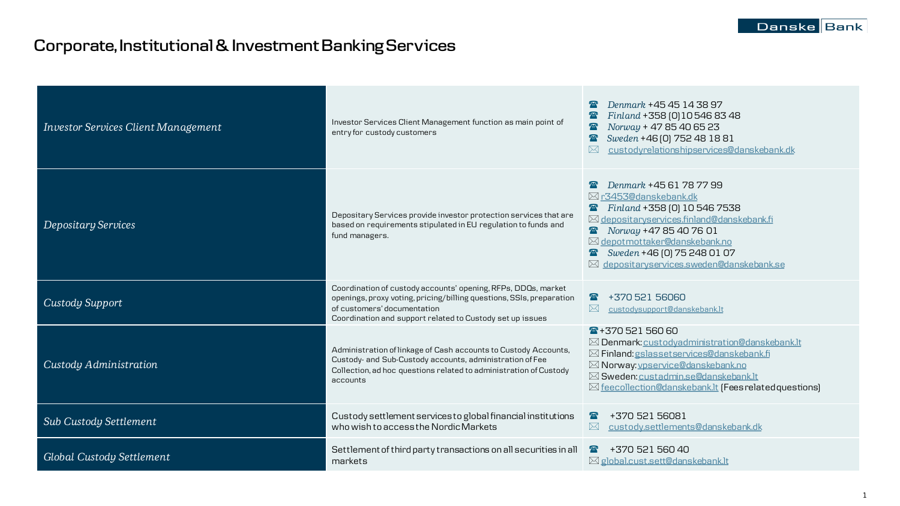# **Corporate, Institutional & Investment Banking Services**

| <b>Investor Services Client Management</b> | Investor Services Client Management function as main point of<br>entry for custody customers                                                                                                                                      | Denmark +45 45 14 38 97<br>Finland +358 [0] 10546 83 48<br>Norway + 47 85 40 65 23<br>Sweden +46 [0] 752 48 18 81<br>custodyrelationshipservices@danskebank.dk<br>$\boxtimes$                                                                                                   |
|--------------------------------------------|-----------------------------------------------------------------------------------------------------------------------------------------------------------------------------------------------------------------------------------|---------------------------------------------------------------------------------------------------------------------------------------------------------------------------------------------------------------------------------------------------------------------------------|
| Depositary Services                        | Depositary Services provide investor protection services that are<br>based on requirements stipulated in EU regulation to funds and<br>fund managers.                                                                             | Denmark +45 61 78 77 99<br>⊠ r3453@danskebank.dk<br>Finland +358 [0] 10 546 7538<br>⊠ depositaryservices.finland@danskebank.fi<br>Norway +47 85 40 76 01<br>$\boxtimes$ depotmottaker@danskebank.no<br>Sweden +46 [0] 75 248 01 07<br>⊠ depositaryservices.sweden@danskebank.se |
| Custody Support                            | Coordination of custody accounts' opening, RFPs, DDQs, market<br>openings, proxy voting, pricing/billing questions, SSIs, preparation<br>of customers' documentation<br>Coordination and support related to Custody set up issues | $\sqrt{m}$<br>+370 521 56060<br>custodysupport@danskebank.lt                                                                                                                                                                                                                    |
| Custody Administration                     | Administration of linkage of Cash accounts to Custody Accounts,<br>Custody- and Sub-Custody accounts, administration of Fee<br>Collection, ad hoc questions related to administration of Custody<br>accounts                      | $\frac{1}{2}$ + 370 521 560 60<br>⊠ Denmark: custodvadministration@danskebank.lt<br>⊠ Finland: gslassetservices@danskebank.fi<br>⊠ Norway: vpservice@danskebank.no<br>⊠ Sweden: custadmin.se@danskebank.lt<br>⊠ feecollection@danskebank.lt (Fees related questions)            |
| Sub Custody Settlement                     | Custody settlement services to global financial institutions<br>who wish to access the Nordic Markets                                                                                                                             | +370 521 56081<br>$\sqrt{m}$<br>custody.settlements@danskebank.dk                                                                                                                                                                                                               |
| Global Custody Settlement                  | Settlement of third party transactions on all securities in all<br>markets                                                                                                                                                        | +370 521 560 40<br>$\frac{1}{2}$<br>$\boxtimes$ global.cust.sett@danskebank.lt                                                                                                                                                                                                  |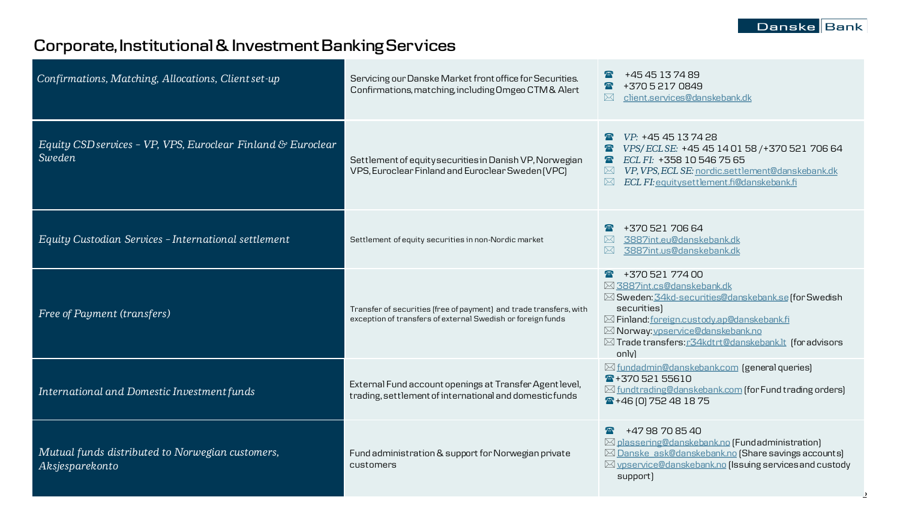# **Corporate, Institutional & Investment Banking Services**

| Confirmations, Matching, Allocations, Client set-up                    | Servicing our Danske Market front office for Securities.<br>Confirmations, matching, including Omgeo CTM & Alert                  | +45 45 13 74 89<br>+370 5 217 0849<br>client.services@danskebank.dk<br>$\bowtie$                                                                                                                                                                                                        |
|------------------------------------------------------------------------|-----------------------------------------------------------------------------------------------------------------------------------|-----------------------------------------------------------------------------------------------------------------------------------------------------------------------------------------------------------------------------------------------------------------------------------------|
| Equity CSD services - VP, VPS, Euroclear Finland & Euroclear<br>Sweden | Settlement of equity securities in Danish VP, Norwegian<br>VPS, Euroclear Finland and Euroclear Sweden (VPC)                      | VP: +45 45 13 74 28<br>$\frac{1}{2}$<br>VPS/ECLSE: +45 45 14 01 58 / +370 521 706 64<br>ECL FI: +358 10 546 75 65<br>$\mathbf{F}$<br>VP, VPS, ECL SE: nordic.settlement@danskebank.dk<br>$\bowtie$<br>ECL FI: equitysettlement.fi@danskebank.fi<br>$\bowtie$                            |
| Equity Custodian Services - International settlement                   | Settlement of equity securities in non-Nordic market                                                                              | +370 521 706 64<br>3887int.eu@danskebank.dk<br>$\bowtie$<br>3887int.us@danskebank.dk<br>$\bowtie$                                                                                                                                                                                       |
| Free of Payment (transfers)                                            | Transfer of securities (free of payment) and trade transfers, with<br>exception of transfers of external Swedish or foreign funds | $\sqrt{2}$ +370 521 774 00<br>⊠ 3887int.cs@danskebank.dk<br>⊠ Sweden: 34kd-securities@danskebank.se (for Swedish<br>securities)<br>⊠ Finland: foreign.custody.ap@danskebank.fi<br>⊠ Norway: vpservice@danskebank.no<br>⊠ Trade transfers: r34kdtrt@danskebank.lt (for advisors<br>only) |
| International and Domestic Investment funds                            | External Fund account openings at Transfer Agent level,<br>trading, settlement of international and domestic funds                | ⊠ fundadmin@danskebank.com (general queries)<br>☎+37052155610<br>$\boxtimes$ fundtrading@danskebank.com (for Fund trading orders)<br>$\frac{1}{2}$ +46 (0) 752 48 18 75                                                                                                                 |
| Mutual funds distributed to Norwegian customers,<br>Aksjesparekonto    | Fund administration & support for Norwegian private<br>customers                                                                  | +47 98 70 85 40<br>$\frac{1}{\sqrt{10}}$<br>⊠ plassering@danskebank.no (Fundadministration)<br>⊠ Danske ask@danskebank.no (Share savings accounts)<br>⊠ vpservice@danskebank.no (Issuing services and custody<br>support)                                                               |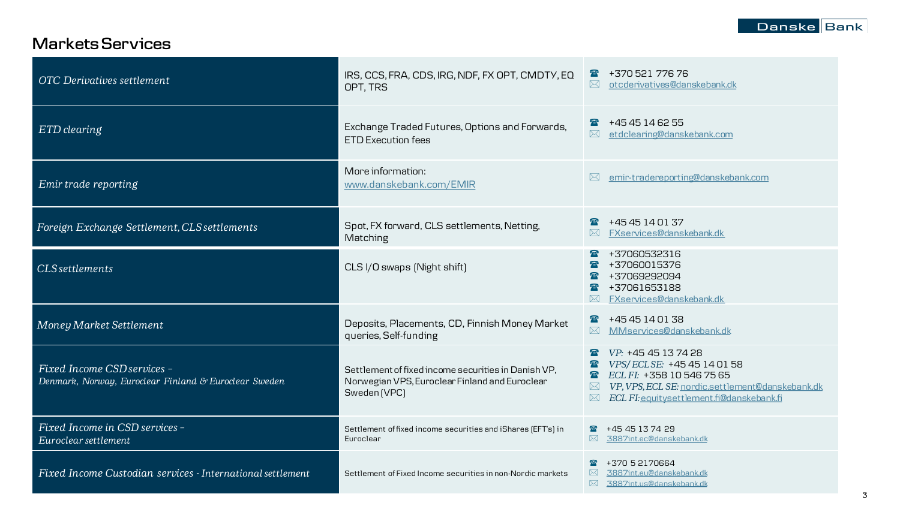### **MarketsServices**

| <b>OTC</b> Derivatives settlement                                                    | IRS, CCS, FRA, CDS, IRG, NDF, FX OPT, CMDTY, EQ<br>OPT, TRS                                                           | +370 521 776 76<br>otcderivatives@danskebank.dk<br>$\bowtie$                                                                                                                                                                           |
|--------------------------------------------------------------------------------------|-----------------------------------------------------------------------------------------------------------------------|----------------------------------------------------------------------------------------------------------------------------------------------------------------------------------------------------------------------------------------|
| ETD clearing                                                                         | Exchange Traded Futures, Options and Forwards,<br><b>ETD Execution fees</b>                                           | +45 45 14 62 55<br>etdclearing@danskebank.com<br>$\bowtie$                                                                                                                                                                             |
| Emir trade reporting                                                                 | More information:<br>www.danskebank.com/EMIR                                                                          | emir-tradereporting@danskebank.com<br>$\bowtie$                                                                                                                                                                                        |
| Foreign Exchange Settlement, CLS settlements                                         | Spot, FX forward, CLS settlements, Netting,<br>Matching                                                               | +45 45 14 01 37<br>FXservices@danskebank.dk                                                                                                                                                                                            |
| <b>CLS</b> settlements                                                               | CLS I/O swaps (Night shift)                                                                                           | +37060532316<br>+37060015376<br>+37069292094<br>+37061653188<br>FXservices@danskebank.dk                                                                                                                                               |
| Money Market Settlement                                                              | Deposits, Placements, CD, Finnish Money Market<br>queries, Self-funding                                               | $\frac{1}{2}$ +4545140138<br>MMservices@danskebank.dk<br>$\boxtimes$                                                                                                                                                                   |
| Fixed Income CSD services -<br>Denmark, Norway, Euroclear Finland & Euroclear Sweden | Settlement of fixed income securities in Danish VP,<br>Norwegian VPS, Euroclear Finland and Euroclear<br>Sweden (VPC) | VP: +45 45 13 74 28<br>VPS/ECLSE: +45 45 14 01 58<br>ECL FI: +358 10 546 75 65<br>$\overline{\mathbf{m}}$<br>VP, VPS, ECL SE: nordic.settlement@danskebank.dk<br>$\bowtie$<br>$\boxtimes$<br>ECL FI: equitysettlement.fi@danskebank.fi |
| Fixed Income in CSD services -<br>Euroclear settlement                               | Settlement of fixed income securities and iShares (EFT's) in<br>Euroclear                                             | +45 45 13 74 29<br>$\boxtimes$ 3887int.ec@danskebank.dk                                                                                                                                                                                |
| Fixed Income Custodian services - International settlement                           | Settlement of Fixed Income securities in non-Nordic markets                                                           | +370 5 2170664<br>3887int.eu@danskebank.dk<br>$\boxtimes$<br>$\boxtimes$<br>3887int.us@danskebank.dk                                                                                                                                   |